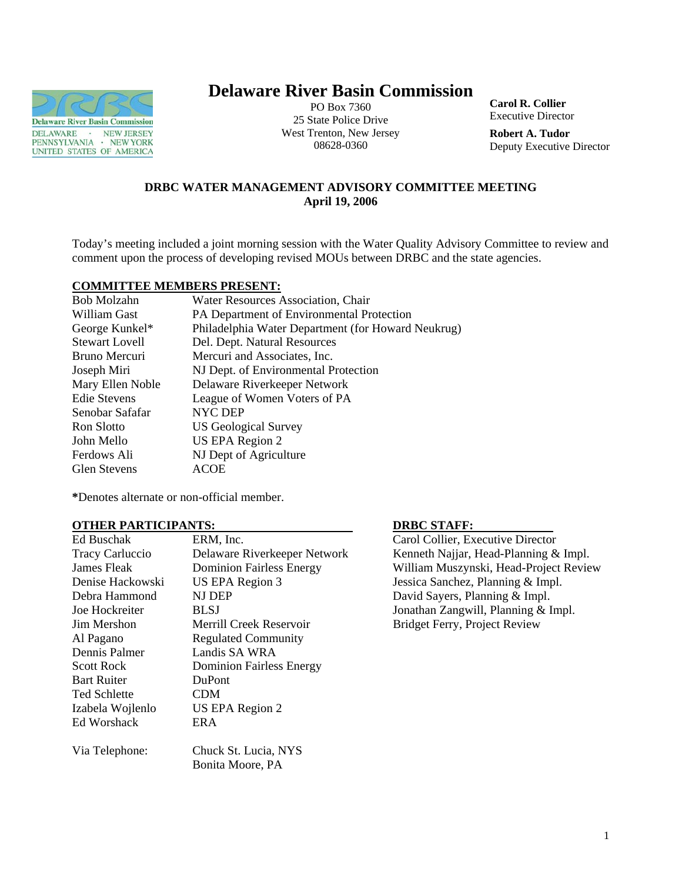

# **Delaware River Basin Commission**

PO Box 7360 25 State Police Drive West Trenton, New Jersey 08628-0360

**Carol R. Collier** Executive Director

**Robert A. Tudor**  Deputy Executive Director

# **DRBC WATER MANAGEMENT ADVISORY COMMITTEE MEETING April 19, 2006**

Today's meeting included a joint morning session with the Water Quality Advisory Committee to review and comment upon the process of developing revised MOUs between DRBC and the state agencies.

#### **COMMITTEE MEMBERS PRESENT:**

| Bob Molzahn           | Water Resources Association, Chair                 |
|-----------------------|----------------------------------------------------|
| William Gast          | PA Department of Environmental Protection          |
| George Kunkel*        | Philadelphia Water Department (for Howard Neukrug) |
| <b>Stewart Lovell</b> | Del. Dept. Natural Resources                       |
| Bruno Mercuri         | Mercuri and Associates, Inc.                       |
| Joseph Miri           | NJ Dept. of Environmental Protection               |
| Mary Ellen Noble      | Delaware Riverkeeper Network                       |
| <b>Edie Stevens</b>   | League of Women Voters of PA                       |
| Senobar Safafar       | NYC DEP                                            |
| Ron Slotto            | <b>US Geological Survey</b>                        |
| John Mello            | US EPA Region 2                                    |
| Ferdows Ali           | NJ Dept of Agriculture                             |
| <b>Glen Stevens</b>   | ACOE                                               |

**\***Denotes alternate or non-official member.

#### **OTHER PARTICIPANTS: DRBC STAFF:**

| Ed Buschak             | ERM, Inc.                       |
|------------------------|---------------------------------|
| <b>Tracy Carluccio</b> | Delaware Riverkeeper Network    |
| James Fleak            | <b>Dominion Fairless Energy</b> |
| Denise Hackowski       | US EPA Region 3                 |
| Debra Hammond          | NJ DEP                          |
| Joe Hockreiter         | BLSJ                            |
| Jim Mershon            | Merrill Creek Reservoir         |
| Al Pagano              | <b>Regulated Community</b>      |
| Dennis Palmer          | Landis SA WRA                   |
| <b>Scott Rock</b>      | <b>Dominion Fairless Energy</b> |
| <b>Bart Ruiter</b>     | <b>DuPont</b>                   |
| <b>Ted Schlette</b>    | CDM                             |
| Izabela Wojlenlo       | US EPA Region 2                 |
| <b>Ed Worshack</b>     | ER A                            |
| Via Telephone:         | Chuck St. Lucia, NYS            |
|                        | Bonita Moore, PA                |

Carol Collier, Executive Director Kenneth Najjar, Head-Planning  $&$  Impl. William Muszynski, Head-Project Review Jessica Sanchez, Planning & Impl. David Sayers, Planning & Impl. Jonathan Zangwill, Planning & Impl. Bridget Ferry, Project Review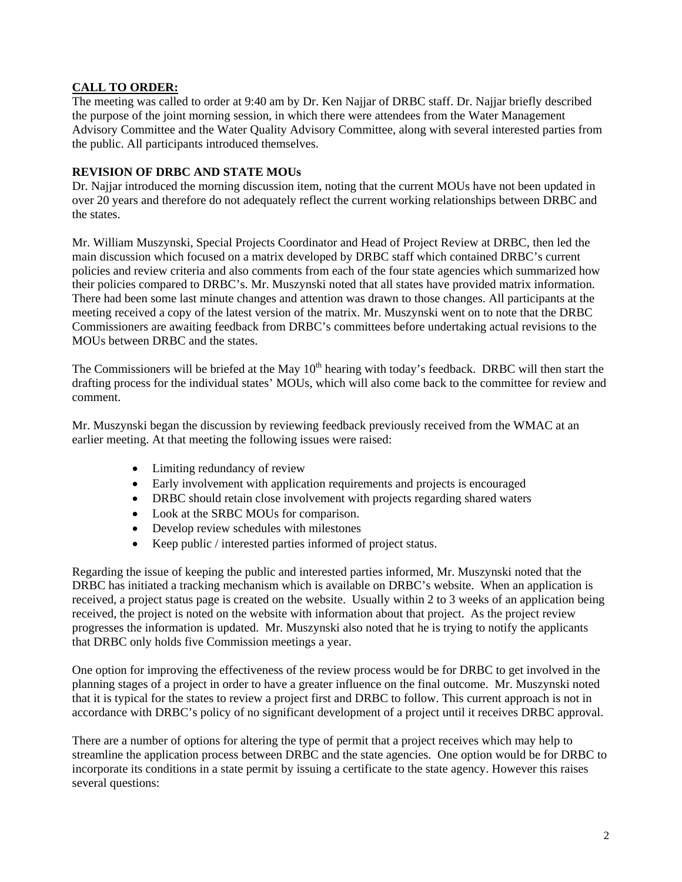# **CALL TO ORDER:**

The meeting was called to order at 9:40 am by Dr. Ken Najjar of DRBC staff. Dr. Najjar briefly described the purpose of the joint morning session, in which there were attendees from the Water Management Advisory Committee and the Water Quality Advisory Committee, along with several interested parties from the public. All participants introduced themselves.

# **REVISION OF DRBC AND STATE MOUs**

Dr. Najjar introduced the morning discussion item, noting that the current MOUs have not been updated in over 20 years and therefore do not adequately reflect the current working relationships between DRBC and the states.

Mr. William Muszynski, Special Projects Coordinator and Head of Project Review at DRBC, then led the main discussion which focused on a matrix developed by DRBC staff which contained DRBC's current policies and review criteria and also comments from each of the four state agencies which summarized how their policies compared to DRBC's. Mr. Muszynski noted that all states have provided matrix information. There had been some last minute changes and attention was drawn to those changes. All participants at the meeting received a copy of the latest version of the matrix. Mr. Muszynski went on to note that the DRBC Commissioners are awaiting feedback from DRBC's committees before undertaking actual revisions to the MOUs between DRBC and the states.

The Commissioners will be briefed at the May  $10<sup>th</sup>$  hearing with today's feedback. DRBC will then start the drafting process for the individual states' MOUs, which will also come back to the committee for review and comment.

Mr. Muszynski began the discussion by reviewing feedback previously received from the WMAC at an earlier meeting. At that meeting the following issues were raised:

- Limiting redundancy of review
- Early involvement with application requirements and projects is encouraged
- DRBC should retain close involvement with projects regarding shared waters
- Look at the SRBC MOUs for comparison.
- Develop review schedules with milestones
- Keep public / interested parties informed of project status.

Regarding the issue of keeping the public and interested parties informed, Mr. Muszynski noted that the DRBC has initiated a tracking mechanism which is available on DRBC's website. When an application is received, a project status page is created on the website. Usually within 2 to 3 weeks of an application being received, the project is noted on the website with information about that project. As the project review progresses the information is updated. Mr. Muszynski also noted that he is trying to notify the applicants that DRBC only holds five Commission meetings a year.

One option for improving the effectiveness of the review process would be for DRBC to get involved in the planning stages of a project in order to have a greater influence on the final outcome. Mr. Muszynski noted that it is typical for the states to review a project first and DRBC to follow. This current approach is not in accordance with DRBC's policy of no significant development of a project until it receives DRBC approval.

There are a number of options for altering the type of permit that a project receives which may help to streamline the application process between DRBC and the state agencies. One option would be for DRBC to incorporate its conditions in a state permit by issuing a certificate to the state agency. However this raises several questions: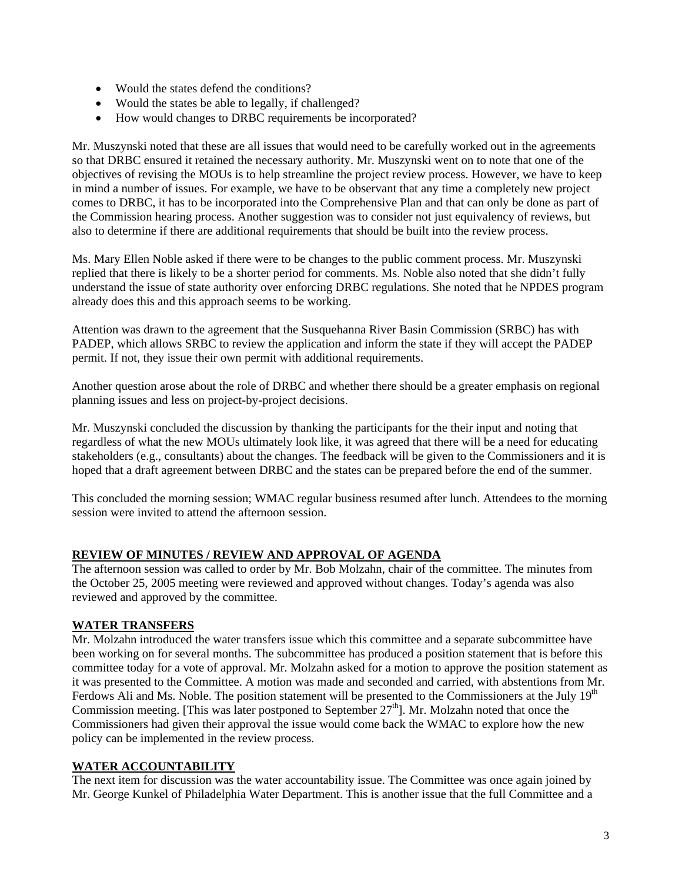- Would the states defend the conditions?
- Would the states be able to legally, if challenged?
- How would changes to DRBC requirements be incorporated?

Mr. Muszynski noted that these are all issues that would need to be carefully worked out in the agreements so that DRBC ensured it retained the necessary authority. Mr. Muszynski went on to note that one of the objectives of revising the MOUs is to help streamline the project review process. However, we have to keep in mind a number of issues. For example, we have to be observant that any time a completely new project comes to DRBC, it has to be incorporated into the Comprehensive Plan and that can only be done as part of the Commission hearing process. Another suggestion was to consider not just equivalency of reviews, but also to determine if there are additional requirements that should be built into the review process.

Ms. Mary Ellen Noble asked if there were to be changes to the public comment process. Mr. Muszynski replied that there is likely to be a shorter period for comments. Ms. Noble also noted that she didn't fully understand the issue of state authority over enforcing DRBC regulations. She noted that he NPDES program already does this and this approach seems to be working.

Attention was drawn to the agreement that the Susquehanna River Basin Commission (SRBC) has with PADEP, which allows SRBC to review the application and inform the state if they will accept the PADEP permit. If not, they issue their own permit with additional requirements.

Another question arose about the role of DRBC and whether there should be a greater emphasis on regional planning issues and less on project-by-project decisions.

Mr. Muszynski concluded the discussion by thanking the participants for the their input and noting that regardless of what the new MOUs ultimately look like, it was agreed that there will be a need for educating stakeholders (e.g., consultants) about the changes. The feedback will be given to the Commissioners and it is hoped that a draft agreement between DRBC and the states can be prepared before the end of the summer.

This concluded the morning session; WMAC regular business resumed after lunch. Attendees to the morning session were invited to attend the afternoon session.

# **REVIEW OF MINUTES / REVIEW AND APPROVAL OF AGENDA**

The afternoon session was called to order by Mr. Bob Molzahn, chair of the committee. The minutes from the October 25, 2005 meeting were reviewed and approved without changes. Today's agenda was also reviewed and approved by the committee.

# **WATER TRANSFERS**

Mr. Molzahn introduced the water transfers issue which this committee and a separate subcommittee have been working on for several months. The subcommittee has produced a position statement that is before this committee today for a vote of approval. Mr. Molzahn asked for a motion to approve the position statement as it was presented to the Committee. A motion was made and seconded and carried, with abstentions from Mr. Ferdows Ali and Ms. Noble. The position statement will be presented to the Commissioners at the July  $19<sup>th</sup>$ Commission meeting. [This was later postponed to September 27<sup>th</sup>]. Mr. Molzahn noted that once the Commissioners had given their approval the issue would come back the WMAC to explore how the new policy can be implemented in the review process.

# **WATER ACCOUNTABILITY**

The next item for discussion was the water accountability issue. The Committee was once again joined by Mr. George Kunkel of Philadelphia Water Department. This is another issue that the full Committee and a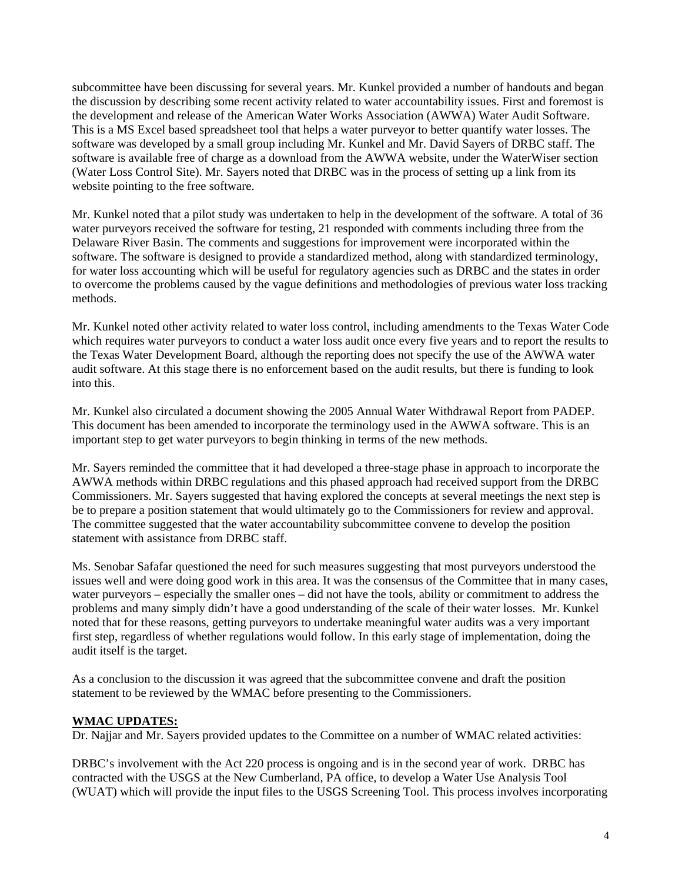subcommittee have been discussing for several years. Mr. Kunkel provided a number of handouts and began the discussion by describing some recent activity related to water accountability issues. First and foremost is the development and release of the American Water Works Association (AWWA) Water Audit Software. This is a MS Excel based spreadsheet tool that helps a water purveyor to better quantify water losses. The software was developed by a small group including Mr. Kunkel and Mr. David Sayers of DRBC staff. The software is available free of charge as a download from the AWWA website, under the WaterWiser section (Water Loss Control Site). Mr. Sayers noted that DRBC was in the process of setting up a link from its website pointing to the free software.

Mr. Kunkel noted that a pilot study was undertaken to help in the development of the software. A total of 36 water purveyors received the software for testing, 21 responded with comments including three from the Delaware River Basin. The comments and suggestions for improvement were incorporated within the software. The software is designed to provide a standardized method, along with standardized terminology, for water loss accounting which will be useful for regulatory agencies such as DRBC and the states in order to overcome the problems caused by the vague definitions and methodologies of previous water loss tracking methods.

Mr. Kunkel noted other activity related to water loss control, including amendments to the Texas Water Code which requires water purveyors to conduct a water loss audit once every five years and to report the results to the Texas Water Development Board, although the reporting does not specify the use of the AWWA water audit software. At this stage there is no enforcement based on the audit results, but there is funding to look into this.

Mr. Kunkel also circulated a document showing the 2005 Annual Water Withdrawal Report from PADEP. This document has been amended to incorporate the terminology used in the AWWA software. This is an important step to get water purveyors to begin thinking in terms of the new methods.

Mr. Sayers reminded the committee that it had developed a three-stage phase in approach to incorporate the AWWA methods within DRBC regulations and this phased approach had received support from the DRBC Commissioners. Mr. Sayers suggested that having explored the concepts at several meetings the next step is be to prepare a position statement that would ultimately go to the Commissioners for review and approval. The committee suggested that the water accountability subcommittee convene to develop the position statement with assistance from DRBC staff.

Ms. Senobar Safafar questioned the need for such measures suggesting that most purveyors understood the issues well and were doing good work in this area. It was the consensus of the Committee that in many cases, water purveyors – especially the smaller ones – did not have the tools, ability or commitment to address the problems and many simply didn't have a good understanding of the scale of their water losses. Mr. Kunkel noted that for these reasons, getting purveyors to undertake meaningful water audits was a very important first step, regardless of whether regulations would follow. In this early stage of implementation, doing the audit itself is the target.

As a conclusion to the discussion it was agreed that the subcommittee convene and draft the position statement to be reviewed by the WMAC before presenting to the Commissioners.

# **WMAC UPDATES:**

Dr. Najjar and Mr. Sayers provided updates to the Committee on a number of WMAC related activities:

DRBC's involvement with the Act 220 process is ongoing and is in the second year of work. DRBC has contracted with the USGS at the New Cumberland, PA office, to develop a Water Use Analysis Tool (WUAT) which will provide the input files to the USGS Screening Tool. This process involves incorporating